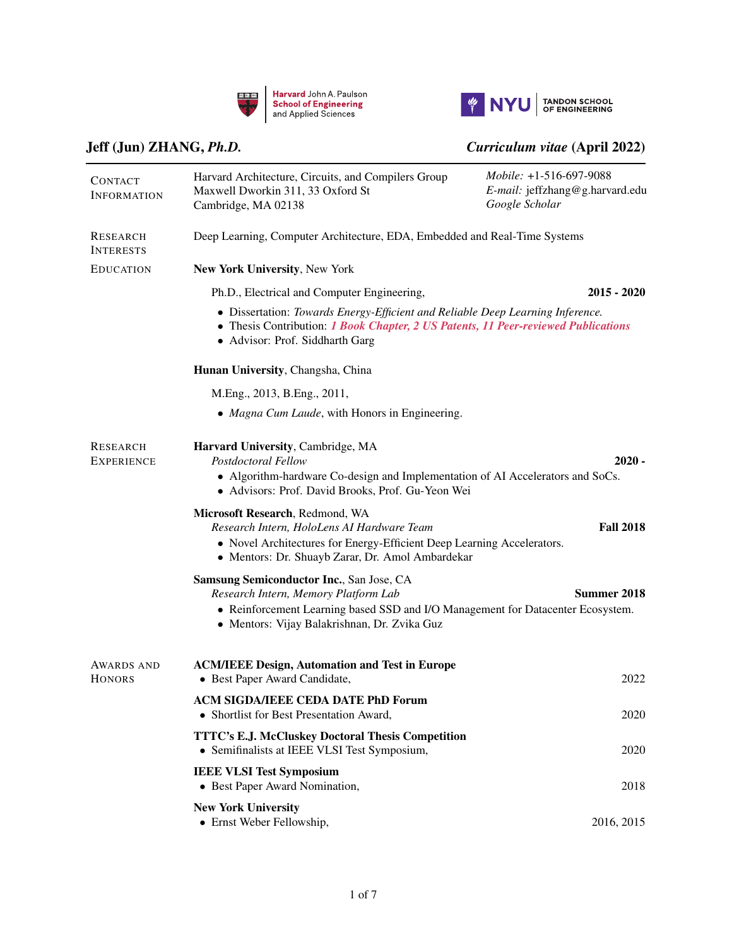



## [Jeff \(Jun\) ZHANG,](https://scholar.harvard.edu/jeff-jun-zhang/home) *Ph.D. Curriculum vitae* (April 2022)

| <b>CONTACT</b><br><b>INFORMATION</b> | Harvard Architecture, Circuits, and Compilers Group<br>Maxwell Dworkin 311, 33 Oxford St<br>Cambridge, MA 02138                                                                                                     | Mobile: +1-516-697-9088<br>E-mail: jeffzhang@g.harvard.edu<br>Google Scholar |  |  |  |
|--------------------------------------|---------------------------------------------------------------------------------------------------------------------------------------------------------------------------------------------------------------------|------------------------------------------------------------------------------|--|--|--|
| RESEARCH<br><b>INTERESTS</b>         |                                                                                                                                                                                                                     | Deep Learning, Computer Architecture, EDA, Embedded and Real-Time Systems    |  |  |  |
| <b>EDUCATION</b>                     | New York University, New York                                                                                                                                                                                       |                                                                              |  |  |  |
|                                      | Ph.D., Electrical and Computer Engineering,                                                                                                                                                                         | $2015 - 2020$                                                                |  |  |  |
|                                      | • Dissertation: Towards Energy-Efficient and Reliable Deep Learning Inference.<br>• Thesis Contribution: 1 Book Chapter, 2 US Patents, 11 Peer-reviewed Publications<br>· Advisor: Prof. Siddharth Garg             |                                                                              |  |  |  |
|                                      | Hunan University, Changsha, China                                                                                                                                                                                   |                                                                              |  |  |  |
|                                      | M.Eng., 2013, B.Eng., 2011,                                                                                                                                                                                         |                                                                              |  |  |  |
|                                      | • Magna Cum Laude, with Honors in Engineering.                                                                                                                                                                      |                                                                              |  |  |  |
| <b>RESEARCH</b><br><b>EXPERIENCE</b> | Harvard University, Cambridge, MA<br>Postdoctoral Fellow<br>• Algorithm-hardware Co-design and Implementation of AI Accelerators and SoCs.<br>· Advisors: Prof. David Brooks, Prof. Gu-Yeon Wei                     | $2020 -$                                                                     |  |  |  |
|                                      | Microsoft Research, Redmond, WA<br>Research Intern, HoloLens AI Hardware Team<br>• Novel Architectures for Energy-Efficient Deep Learning Accelerators.<br>• Mentors: Dr. Shuayb Zarar, Dr. Amol Ambardekar         | <b>Fall 2018</b>                                                             |  |  |  |
|                                      | Samsung Semiconductor Inc., San Jose, CA<br>Research Intern, Memory Platform Lab<br>• Reinforcement Learning based SSD and I/O Management for Datacenter Ecosystem.<br>• Mentors: Vijay Balakrishnan, Dr. Zvika Guz | Summer 2018                                                                  |  |  |  |
| AWARDS AND<br><b>HONORS</b>          | <b>ACM/IEEE Design, Automation and Test in Europe</b><br>• Best Paper Award Candidate,                                                                                                                              | 2022                                                                         |  |  |  |
|                                      | <b>ACM SIGDA/IEEE CEDA DATE PhD Forum</b><br>• Shortlist for Best Presentation Award,                                                                                                                               | 2020                                                                         |  |  |  |
|                                      | <b>TTTC's E.J. McCluskey Doctoral Thesis Competition</b><br>• Semifinalists at IEEE VLSI Test Symposium,                                                                                                            | 2020                                                                         |  |  |  |
|                                      | <b>IEEE VLSI Test Symposium</b><br>• Best Paper Award Nomination,                                                                                                                                                   | 2018                                                                         |  |  |  |
|                                      | <b>New York University</b><br>• Ernst Weber Fellowship,                                                                                                                                                             | 2016, 2015                                                                   |  |  |  |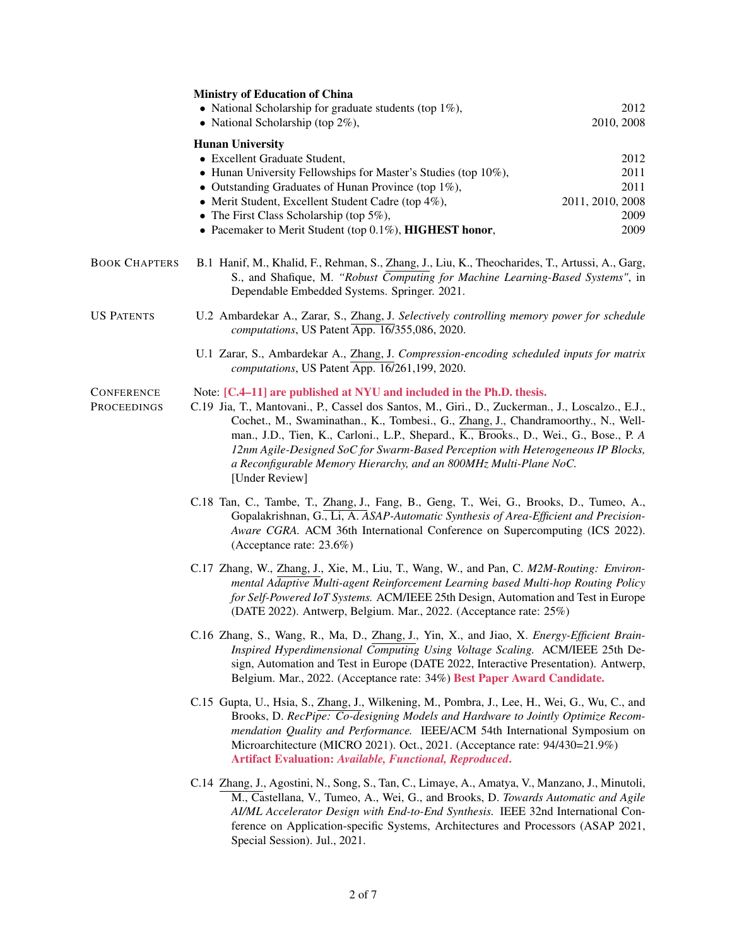|                           | <b>Ministry of Education of China</b><br>• National Scholarship for graduate students (top $1\%$ ),<br>• National Scholarship (top $2\%$ ),                                                                                                                                                                                                                                                                                                                                                                                          | 2012<br>2010, 2008                                       |
|---------------------------|--------------------------------------------------------------------------------------------------------------------------------------------------------------------------------------------------------------------------------------------------------------------------------------------------------------------------------------------------------------------------------------------------------------------------------------------------------------------------------------------------------------------------------------|----------------------------------------------------------|
|                           | <b>Hunan University</b><br>• Excellent Graduate Student,<br>• Hunan University Fellowships for Master's Studies (top 10%),<br>• Outstanding Graduates of Hunan Province (top $1\%$ ),<br>• Merit Student, Excellent Student Cadre (top 4%),<br>• The First Class Scholarship (top $5\%$ ),<br>• Pacemaker to Merit Student (top 0.1%), HIGHEST honor,                                                                                                                                                                                | 2012<br>2011<br>2011<br>2011, 2010, 2008<br>2009<br>2009 |
| <b>BOOK CHAPTERS</b>      | B.1 Hanif, M., Khalid, F., Rehman, S., Zhang, J., Liu, K., Theocharides, T., Artussi, A., Garg,<br>S., and Shafique, M. "Robust Computing for Machine Learning-Based Systems", in<br>Dependable Embedded Systems. Springer. 2021.                                                                                                                                                                                                                                                                                                    |                                                          |
| US PATENTS                | U.2 Ambardekar A., Zarar, S., Zhang, J. Selectively controlling memory power for schedule<br>computations, US Patent App. 16/355,086, 2020.                                                                                                                                                                                                                                                                                                                                                                                          |                                                          |
|                           | U.1 Zarar, S., Ambardekar A., Zhang, J. Compression-encoding scheduled inputs for matrix<br>computations, US Patent App. 16/261,199, 2020.                                                                                                                                                                                                                                                                                                                                                                                           |                                                          |
| CONFERENCE<br>PROCEEDINGS | Note: [C.4–11] are published at NYU and included in the Ph.D. thesis.<br>C.19 Jia, T., Mantovani., P., Cassel dos Santos, M., Giri., D., Zuckerman., J., Loscalzo., E.J.,<br>Cochet., M., Swaminathan., K., Tombesi., G., Zhang, J., Chandramoorthy., N., Well-<br>man., J.D., Tien, K., Carloni., L.P., Shepard., K., Brooks., D., Wei., G., Bose., P. A<br>12nm Agile-Designed SoC for Swarm-Based Perception with Heterogeneous IP Blocks,<br>a Reconfigurable Memory Hierarchy, and an 800MHz Multi-Plane NoC.<br>[Under Review] |                                                          |
|                           | C.18 Tan, C., Tambe, T., Zhang, J., Fang, B., Geng, T., Wei, G., Brooks, D., Tumeo, A.,<br>Gopalakrishnan, G., Li, A. ASAP-Automatic Synthesis of Area-Efficient and Precision-<br>Aware CGRA. ACM 36th International Conference on Supercomputing (ICS 2022).<br>(Acceptance rate: 23.6%)                                                                                                                                                                                                                                           |                                                          |
|                           | C.17 Zhang, W., Zhang, J., Xie, M., Liu, T., Wang, W., and Pan, C. M2M-Routing: Environ-<br>mental Adaptive Multi-agent Reinforcement Learning based Multi-hop Routing Policy<br>for Self-Powered IoT Systems. ACM/IEEE 25th Design, Automation and Test in Europe<br>(DATE 2022). Antwerp, Belgium. Mar., 2022. (Acceptance rate: 25%)                                                                                                                                                                                              |                                                          |
|                           | C.16 Zhang, S., Wang, R., Ma, D., Zhang, J., Yin, X., and Jiao, X. Energy-Efficient Brain-<br>Inspired Hyperdimensional Computing Using Voltage Scaling. ACM/IEEE 25th De-<br>sign, Automation and Test in Europe (DATE 2022, Interactive Presentation). Antwerp,<br>Belgium. Mar., 2022. (Acceptance rate: 34%) Best Paper Award Candidate.                                                                                                                                                                                         |                                                          |
|                           | C.15 Gupta, U., Hsia, S., Zhang, J., Wilkening, M., Pombra, J., Lee, H., Wei, G., Wu, C., and<br>Brooks, D. RecPipe: Co-designing Models and Hardware to Jointly Optimize Recom-<br>mendation Quality and Performance. IEEE/ACM 54th International Symposium on<br>Microarchitecture (MICRO 2021). Oct., 2021. (Acceptance rate: 94/430=21.9%)<br>Artifact Evaluation: Available, Functional, Reproduced.                                                                                                                            |                                                          |
|                           | C.14 Zhang, J., Agostini, N., Song, S., Tan, C., Limaye, A., Amatya, V., Manzano, J., Minutoli,<br>M., Castellana, V., Tumeo, A., Wei, G., and Brooks, D. Towards Automatic and Agile<br>AI/ML Accelerator Design with End-to-End Synthesis. IEEE 32nd International Con-<br>ference on Application-specific Systems, Architectures and Processors (ASAP 2021,<br>Special Session). Jul., 2021.                                                                                                                                      |                                                          |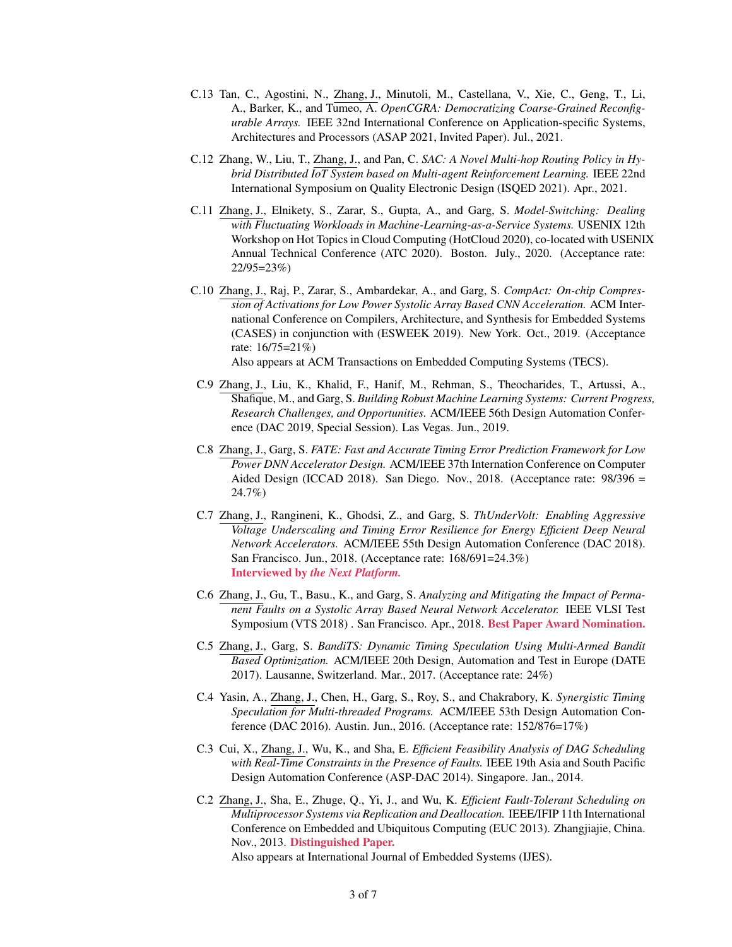- C.13 Tan, C., Agostini, N., Zhang, J., Minutoli, M., Castellana, V., Xie, C., Geng, T., Li, A., Barker, K., and Tumeo, A. *OpenCGRA: Democratizing Coarse-Grained Reconfigurable Arrays.* IEEE 32nd International Conference on Application-specific Systems, Architectures and Processors (ASAP 2021, Invited Paper). Jul., 2021.
- C.12 Zhang, W., Liu, T., Zhang, J., and Pan, C. *SAC: A Novel Multi-hop Routing Policy in Hybrid Distributed IoT System based on Multi-agent Reinforcement Learning.* IEEE 22nd International Symposium on Quality Electronic Design (ISQED 2021). Apr., 2021.
- C.11 Zhang, J., Elnikety, S., Zarar, S., Gupta, A., and Garg, S. *Model-Switching: Dealing with Fluctuating Workloads in Machine-Learning-as-a-Service Systems.* USENIX 12th Workshop on Hot Topics in Cloud Computing (HotCloud 2020), co-located with USENIX Annual Technical Conference (ATC 2020). Boston. July., 2020. (Acceptance rate: 22/95=23%)
- C.10 Zhang, J., Raj, P., Zarar, S., Ambardekar, A., and Garg, S. *CompAct: On-chip Compression of Activations for Low Power Systolic Array Based CNN Acceleration.* ACM International Conference on Compilers, Architecture, and Synthesis for Embedded Systems (CASES) in conjunction with (ESWEEK 2019). New York. Oct., 2019. (Acceptance rate: 16/75=21%)

Also appears at ACM Transactions on Embedded Computing Systems (TECS).

- C.9 Zhang, J., Liu, K., Khalid, F., Hanif, M., Rehman, S., Theocharides, T., Artussi, A., Shafique, M., and Garg, S. *Building Robust Machine Learning Systems: Current Progress, Research Challenges, and Opportunities.* ACM/IEEE 56th Design Automation Conference (DAC 2019, Special Session). Las Vegas. Jun., 2019.
- C.8 Zhang, J., Garg, S. *FATE: Fast and Accurate Timing Error Prediction Framework for Low Power DNN Accelerator Design.* ACM/IEEE 37th Internation Conference on Computer Aided Design (ICCAD 2018). San Diego. Nov., 2018. (Acceptance rate: 98/396 = 24.7%)
- C.7 Zhang, J., Rangineni, K., Ghodsi, Z., and Garg, S. *ThUnderVolt: Enabling Aggressive Voltage Underscaling and Timing Error Resilience for Energy Efficient Deep Neural Network Accelerators.* ACM/IEEE 55th Design Automation Conference (DAC 2018). San Francisco. Jun., 2018. (Acceptance rate: 168/691=24.3%) Interviewed by *the Next Platform.*
- C.6 Zhang, J., Gu, T., Basu., K., and Garg, S. *Analyzing and Mitigating the Impact of Permanent Faults on a Systolic Array Based Neural Network Accelerator.* IEEE VLSI Test Symposium (VTS 2018) . San Francisco. Apr., 2018. Best Paper Award Nomination.
- C.5 Zhang, J., Garg, S. *BandiTS: Dynamic Timing Speculation Using Multi-Armed Bandit Based Optimization.* ACM/IEEE 20th Design, Automation and Test in Europe (DATE 2017). Lausanne, Switzerland. Mar., 2017. (Acceptance rate: 24%)
- C.4 Yasin, A., Zhang, J., Chen, H., Garg, S., Roy, S., and Chakrabory, K. *Synergistic Timing Speculation for Multi-threaded Programs.* ACM/IEEE 53th Design Automation Conference (DAC 2016). Austin. Jun., 2016. (Acceptance rate: 152/876=17%)
- C.3 Cui, X., Zhang, J., Wu, K., and Sha, E. *Efficient Feasibility Analysis of DAG Scheduling with Real-Time Constraints in the Presence of Faults.* IEEE 19th Asia and South Pacific Design Automation Conference (ASP-DAC 2014). Singapore. Jan., 2014.
- C.2 Zhang, J., Sha, E., Zhuge, Q., Yi, J., and Wu, K. *Efficient Fault-Tolerant Scheduling on Multiprocessor Systems via Replication and Deallocation.* IEEE/IFIP 11th International Conference on Embedded and Ubiquitous Computing (EUC 2013). Zhangjiajie, China. Nov., 2013. Distinguished Paper.

Also appears at International Journal of Embedded Systems (IJES).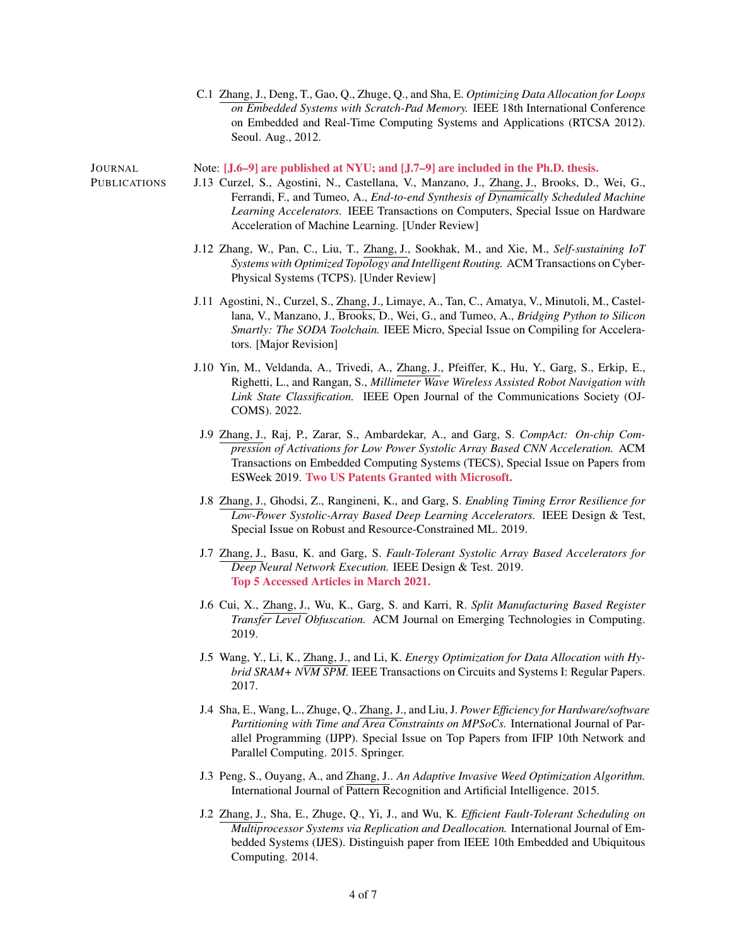C.1 Zhang, J., Deng, T., Gao, Q., Zhuge, Q., and Sha, E. *Optimizing Data Allocation for Loops on Embedded Systems with Scratch-Pad Memory.* IEEE 18th International Conference on Embedded and Real-Time Computing Systems and Applications (RTCSA 2012). Seoul. Aug., 2012.

Note: [J.6–9] are published at NYU; and [J.7–9] are included in the Ph.D. thesis.

JOURNAL **PUBLICATIONS** 

- J.13 Curzel, S., Agostini, N., Castellana, V., Manzano, J., Zhang, J., Brooks, D., Wei, G., Ferrandi, F., and Tumeo, A., *End-to-end Synthesis of Dynamically Scheduled Machine Learning Accelerators.* IEEE Transactions on Computers, Special Issue on Hardware Acceleration of Machine Learning. [Under Review]
- J.12 Zhang, W., Pan, C., Liu, T., Zhang, J., Sookhak, M., and Xie, M., *Self-sustaining IoT Systems with Optimized Topology and Intelligent Routing.* ACM Transactions on Cyber-Physical Systems (TCPS). [Under Review]
- J.11 Agostini, N., Curzel, S., Zhang, J., Limaye, A., Tan, C., Amatya, V., Minutoli, M., Castellana, V., Manzano, J., Brooks, D., Wei, G., and Tumeo, A., *Bridging Python to Silicon Smartly: The SODA Toolchain.* IEEE Micro, Special Issue on Compiling for Accelerators. [Major Revision]
- J.10 Yin, M., Veldanda, A., Trivedi, A., Zhang, J., Pfeiffer, K., Hu, Y., Garg, S., Erkip, E., Righetti, L., and Rangan, S., *Millimeter Wave Wireless Assisted Robot Navigation with Link State Classification.* IEEE Open Journal of the Communications Society (OJ-COMS). 2022.
- J.9 Zhang, J., Raj, P., Zarar, S., Ambardekar, A., and Garg, S. *CompAct: On-chip Compression of Activations for Low Power Systolic Array Based CNN Acceleration.* ACM Transactions on Embedded Computing Systems (TECS), Special Issue on Papers from ESWeek 2019. Two US Patents Granted with Microsoft.
- J.8 Zhang, J., Ghodsi, Z., Rangineni, K., and Garg, S. *Enabling Timing Error Resilience for Low-Power Systolic-Array Based Deep Learning Accelerators.* IEEE Design & Test, Special Issue on Robust and Resource-Constrained ML. 2019.
- J.7 Zhang, J., Basu, K. and Garg, S. *Fault-Tolerant Systolic Array Based Accelerators for Deep Neural Network Execution.* IEEE Design & Test. 2019. Top 5 Accessed Articles in March 2021.
- J.6 Cui, X., Zhang, J., Wu, K., Garg, S. and Karri, R. *Split Manufacturing Based Register Transfer Level Obfuscation.* ACM Journal on Emerging Technologies in Computing. 2019.
- J.5 Wang, Y., Li, K., Zhang, J., and Li, K. *Energy Optimization for Data Allocation with Hybrid SRAM+ NVM SPM.* IEEE Transactions on Circuits and Systems I: Regular Papers. 2017.
- J.4 Sha, E., Wang, L., Zhuge, Q., Zhang, J., and Liu, J. *Power Efficiency for Hardware/software Partitioning with Time and Area Constraints on MPSoCs.* International Journal of Parallel Programming (IJPP). Special Issue on Top Papers from IFIP 10th Network and Parallel Computing. 2015. Springer.
- J.3 Peng, S., Ouyang, A., and Zhang, J.. *An Adaptive Invasive Weed Optimization Algorithm.* International Journal of Pattern Recognition and Artificial Intelligence. 2015.
- J.2 Zhang, J., Sha, E., Zhuge, Q., Yi, J., and Wu, K. *Efficient Fault-Tolerant Scheduling on Multiprocessor Systems via Replication and Deallocation.* International Journal of Embedded Systems (IJES). Distinguish paper from IEEE 10th Embedded and Ubiquitous Computing. 2014.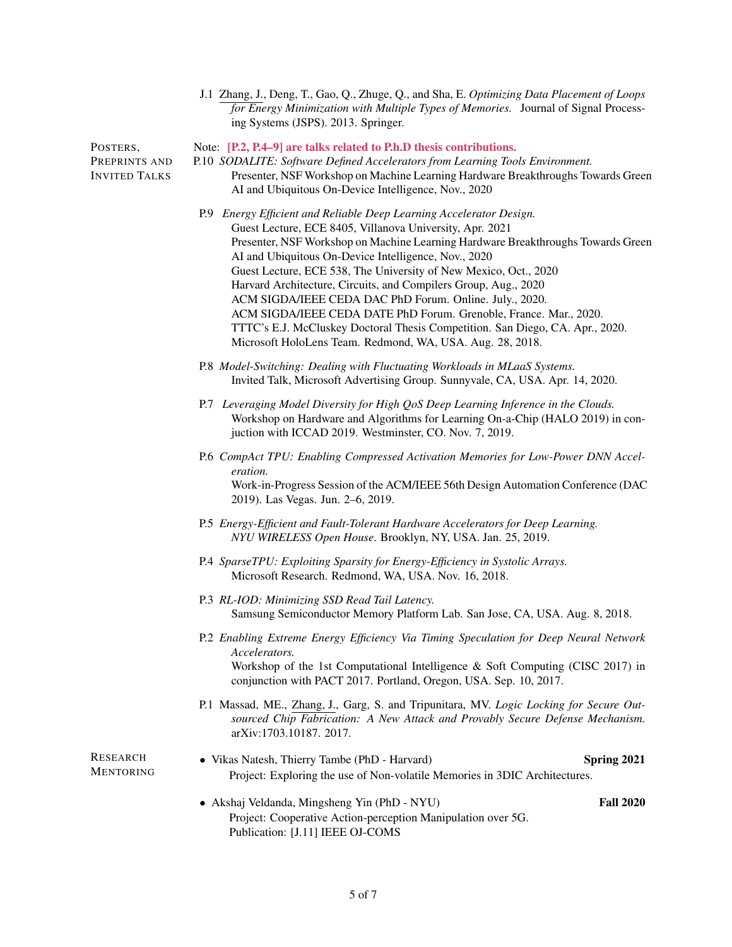|                                                   | J.1 Zhang, J., Deng, T., Gao, Q., Zhuge, Q., and Sha, E. Optimizing Data Placement of Loops<br>for Energy Minimization with Multiple Types of Memories. Journal of Signal Process-<br>ing Systems (JSPS). 2013. Springer.                                                                                                                                                                                                                                                                                                                                                                                                                                                                        |  |
|---------------------------------------------------|--------------------------------------------------------------------------------------------------------------------------------------------------------------------------------------------------------------------------------------------------------------------------------------------------------------------------------------------------------------------------------------------------------------------------------------------------------------------------------------------------------------------------------------------------------------------------------------------------------------------------------------------------------------------------------------------------|--|
| POSTERS,<br>PREPRINTS AND<br><b>INVITED TALKS</b> | Note: [P.2, P.4–9] are talks related to P.h.D thesis contributions.<br>P.10 SODALITE: Software Defined Accelerators from Learning Tools Environment.<br>Presenter, NSF Workshop on Machine Learning Hardware Breakthroughs Towards Green<br>AI and Ubiquitous On-Device Intelligence, Nov., 2020                                                                                                                                                                                                                                                                                                                                                                                                 |  |
|                                                   | P.9 Energy Efficient and Reliable Deep Learning Accelerator Design.<br>Guest Lecture, ECE 8405, Villanova University, Apr. 2021<br>Presenter, NSF Workshop on Machine Learning Hardware Breakthroughs Towards Green<br>AI and Ubiquitous On-Device Intelligence, Nov., 2020<br>Guest Lecture, ECE 538, The University of New Mexico, Oct., 2020<br>Harvard Architecture, Circuits, and Compilers Group, Aug., 2020<br>ACM SIGDA/IEEE CEDA DAC PhD Forum. Online. July., 2020.<br>ACM SIGDA/IEEE CEDA DATE PhD Forum. Grenoble, France. Mar., 2020.<br>TTTC's E.J. McCluskey Doctoral Thesis Competition. San Diego, CA. Apr., 2020.<br>Microsoft HoloLens Team. Redmond, WA, USA. Aug. 28, 2018. |  |
|                                                   | P.8 Model-Switching: Dealing with Fluctuating Workloads in MLaaS Systems.<br>Invited Talk, Microsoft Advertising Group. Sunnyvale, CA, USA. Apr. 14, 2020.                                                                                                                                                                                                                                                                                                                                                                                                                                                                                                                                       |  |
|                                                   | P.7 Leveraging Model Diversity for High QoS Deep Learning Inference in the Clouds.<br>Workshop on Hardware and Algorithms for Learning On-a-Chip (HALO 2019) in con-<br>juction with ICCAD 2019. Westminster, CO. Nov. 7, 2019.                                                                                                                                                                                                                                                                                                                                                                                                                                                                  |  |
|                                                   | P.6 CompAct TPU: Enabling Compressed Activation Memories for Low-Power DNN Accel-<br>eration.<br>Work-in-Progress Session of the ACM/IEEE 56th Design Automation Conference (DAC<br>2019). Las Vegas. Jun. 2-6, 2019.                                                                                                                                                                                                                                                                                                                                                                                                                                                                            |  |
|                                                   | P.5 Energy-Efficient and Fault-Tolerant Hardware Accelerators for Deep Learning.<br>NYU WIRELESS Open House. Brooklyn, NY, USA. Jan. 25, 2019.                                                                                                                                                                                                                                                                                                                                                                                                                                                                                                                                                   |  |
|                                                   | P.4 SparseTPU: Exploiting Sparsity for Energy-Efficiency in Systolic Arrays.<br>Microsoft Research. Redmond, WA, USA. Nov. 16, 2018.                                                                                                                                                                                                                                                                                                                                                                                                                                                                                                                                                             |  |
|                                                   | P.3 RL-IOD: Minimizing SSD Read Tail Latency.<br>Samsung Semiconductor Memory Platform Lab. San Jose, CA, USA. Aug. 8, 2018.                                                                                                                                                                                                                                                                                                                                                                                                                                                                                                                                                                     |  |
|                                                   | P.2 Enabling Extreme Energy Efficiency Via Timing Speculation for Deep Neural Network<br>Accelerators.<br>Workshop of the 1st Computational Intelligence & Soft Computing (CISC 2017) in<br>conjunction with PACT 2017. Portland, Oregon, USA. Sep. 10, 2017.                                                                                                                                                                                                                                                                                                                                                                                                                                    |  |
|                                                   | P.1 Massad, ME., Zhang, J., Garg, S. and Tripunitara, MV. Logic Locking for Secure Out-<br>sourced Chip Fabrication: A New Attack and Provably Secure Defense Mechanism.<br>arXiv:1703.10187. 2017.                                                                                                                                                                                                                                                                                                                                                                                                                                                                                              |  |
| <b>RESEARCH</b><br><b>MENTORING</b>               | • Vikas Natesh, Thierry Tambe (PhD - Harvard)<br>Spring 2021<br>Project: Exploring the use of Non-volatile Memories in 3DIC Architectures.                                                                                                                                                                                                                                                                                                                                                                                                                                                                                                                                                       |  |
|                                                   | <b>Fall 2020</b><br>• Akshaj Veldanda, Mingsheng Yin (PhD - NYU)<br>Project: Cooperative Action-perception Manipulation over 5G.<br>Publication: [J.11] IEEE OJ-COMS                                                                                                                                                                                                                                                                                                                                                                                                                                                                                                                             |  |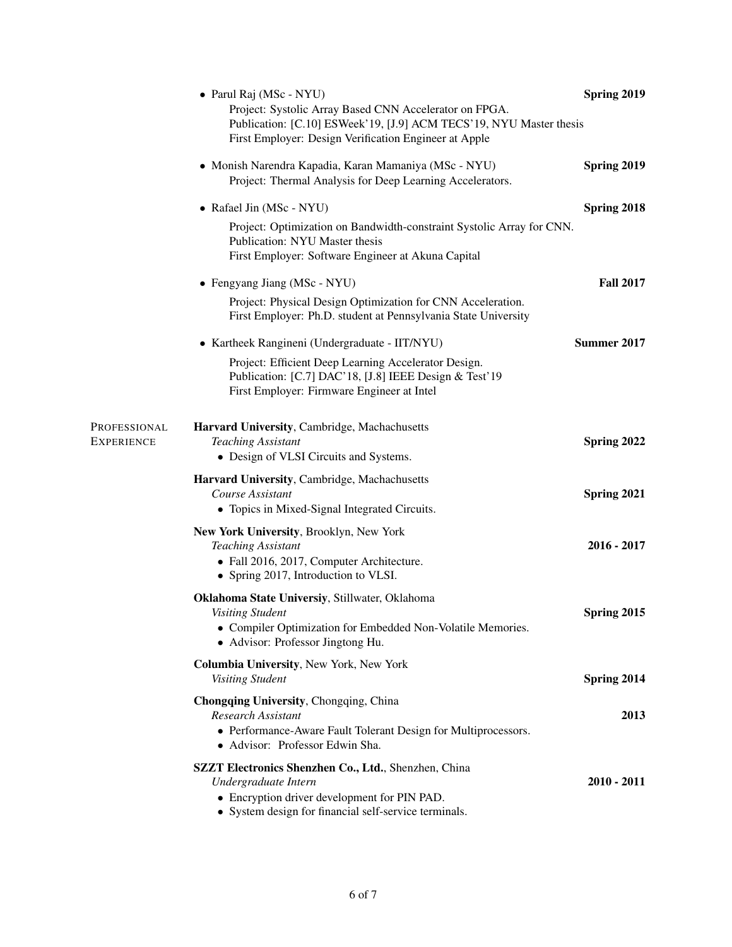|                                   | • Parul Raj (MSc - NYU)                                                                                                                                                                | Spring 2019      |
|-----------------------------------|----------------------------------------------------------------------------------------------------------------------------------------------------------------------------------------|------------------|
|                                   | Project: Systolic Array Based CNN Accelerator on FPGA.<br>Publication: [C.10] ESWeek'19, [J.9] ACM TECS'19, NYU Master thesis<br>First Employer: Design Verification Engineer at Apple |                  |
|                                   | • Monish Narendra Kapadia, Karan Mamaniya (MSc - NYU)<br>Project: Thermal Analysis for Deep Learning Accelerators.                                                                     | Spring 2019      |
|                                   | • Rafael Jin (MSc - NYU)                                                                                                                                                               | Spring 2018      |
|                                   | Project: Optimization on Bandwidth-constraint Systolic Array for CNN.<br>Publication: NYU Master thesis<br>First Employer: Software Engineer at Akuna Capital                          |                  |
|                                   | • Fengyang Jiang (MSc - NYU)                                                                                                                                                           | <b>Fall 2017</b> |
|                                   | Project: Physical Design Optimization for CNN Acceleration.<br>First Employer: Ph.D. student at Pennsylvania State University                                                          |                  |
|                                   | • Kartheek Rangineni (Undergraduate - IIT/NYU)                                                                                                                                         | Summer 2017      |
|                                   | Project: Efficient Deep Learning Accelerator Design.<br>Publication: [C.7] DAC'18, [J.8] IEEE Design & Test'19<br>First Employer: Firmware Engineer at Intel                           |                  |
| Professional<br><b>EXPERIENCE</b> | Harvard University, Cambridge, Machachusetts<br><b>Teaching Assistant</b><br>• Design of VLSI Circuits and Systems.                                                                    | Spring 2022      |
|                                   | Harvard University, Cambridge, Machachusetts<br>Course Assistant<br>• Topics in Mixed-Signal Integrated Circuits.                                                                      | Spring 2021      |
|                                   | New York University, Brooklyn, New York<br><b>Teaching Assistant</b><br>• Fall 2016, 2017, Computer Architecture.<br>• Spring 2017, Introduction to VLSI.                              | $2016 - 2017$    |
|                                   | Oklahoma State Universiy, Stillwater, Oklahoma<br><b>Visiting Student</b><br>• Compiler Optimization for Embedded Non-Volatile Memories.<br>• Advisor: Professor Jingtong Hu.          | Spring 2015      |
|                                   | Columbia University, New York, New York<br><b>Visiting Student</b>                                                                                                                     | Spring 2014      |
|                                   | Chongqing University, Chongqing, China<br><b>Research Assistant</b><br>• Performance-Aware Fault Tolerant Design for Multiprocessors.<br>· Advisor: Professor Edwin Sha.               | 2013             |
|                                   | SZZT Electronics Shenzhen Co., Ltd., Shenzhen, China<br>Undergraduate Intern<br>• Encryption driver development for PIN PAD.<br>• System design for financial self-service terminals.  | $2010 - 2011$    |